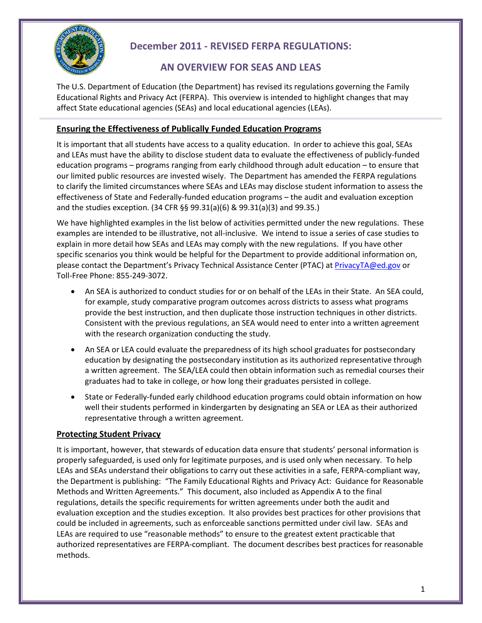

# **December 2011 - REVISED FERPA REGULATIONS:**

## **AN OVERVIEW FOR SEAS AND LEAS**

The U.S. Department of Education (the Department) has revised its regulations governing the Family Educational Rights and Privacy Act (FERPA). This overview is intended to highlight changes that may affect State educational agencies (SEAs) and local educational agencies (LEAs).

### **Ensuring the Effectiveness of Publically Funded Education Programs**

It is important that all students have access to a quality education. In order to achieve this goal, SEAs and LEAs must have the ability to disclose student data to evaluate the effectiveness of publicly-funded education programs – programs ranging from early childhood through adult education – to ensure that our limited public resources are invested wisely. The Department has amended the FERPA regulations to clarify the limited circumstances where SEAs and LEAs may disclose student information to assess the effectiveness of State and Federally-funded education programs – the audit and evaluation exception and the studies exception. (34 CFR §§ 99.31(a)(6) & 99.31(a)(3) and 99.35.)

We have highlighted examples in the list below of activities permitted under the new regulations. These examples are intended to be illustrative, not all-inclusive. We intend to issue a series of case studies to explain in more detail how SEAs and LEAs may comply with the new regulations. If you have other specific scenarios you think would be helpful for the Department to provide additional information on, please contact the Department's Privacy Technical Assistance Center (PTAC) at [PrivacyTA@ed.gov](mailto:PrivacyTA@ed.gov) or Toll-Free Phone: 855-249-3072.

- An SEA is authorized to conduct studies for or on behalf of the LEAs in their State. An SEA could, for example, study comparative program outcomes across districts to assess what programs provide the best instruction, and then duplicate those instruction techniques in other districts. Consistent with the previous regulations, an SEA would need to enter into a written agreement with the research organization conducting the study.
- An SEA or LEA could evaluate the preparedness of its high school graduates for postsecondary education by designating the postsecondary institution as its authorized representative through a written agreement. The SEA/LEA could then obtain information such as remedial courses their graduates had to take in college, or how long their graduates persisted in college.
- State or Federally-funded early childhood education programs could obtain information on how well their students performed in kindergarten by designating an SEA or LEA as their authorized representative through a written agreement.

## **Protecting Student Privacy**

It is important, however, that stewards of education data ensure that students' personal information is properly safeguarded, is used only for legitimate purposes, and is used only when necessary. To help LEAs and SEAs understand their obligations to carry out these activities in a safe, FERPA-compliant way, the Department is publishing: "The Family Educational Rights and Privacy Act: Guidance for Reasonable Methods and Written Agreements." This document, also included as Appendix A to the final regulations, details the specific requirements for written agreements under both the audit and evaluation exception and the studies exception. It also provides best practices for other provisions that could be included in agreements, such as enforceable sanctions permitted under civil law. SEAs and LEAs are required to use "reasonable methods" to ensure to the greatest extent practicable that authorized representatives are FERPA-compliant. The document describes best practices for reasonable methods.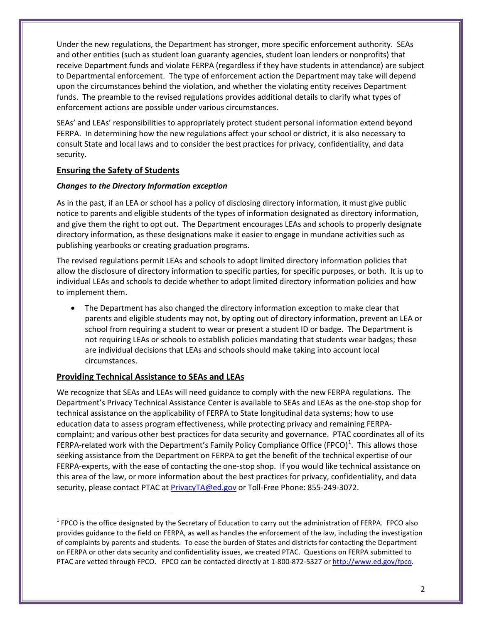Under the new regulations, the Department has stronger, more specific enforcement authority. SEAs and other entities (such as student loan guaranty agencies, student loan lenders or nonprofits) that receive Department funds and violate FERPA (regardless if they have students in attendance) are subject to Departmental enforcement. The type of enforcement action the Department may take will depend upon the circumstances behind the violation, and whether the violating entity receives Department funds. The preamble to the revised regulations provides additional details to clarify what types of enforcement actions are possible under various circumstances.

SEAs' and LEAs' responsibilities to appropriately protect student personal information extend beyond FERPA. In determining how the new regulations affect your school or district, it is also necessary to consult State and local laws and to consider the best practices for privacy, confidentiality, and data security.

### **Ensuring the Safety of Students**

#### *Changes to the Directory Information exception*

As in the past, if an LEA or school has a policy of disclosing directory information, it must give public notice to parents and eligible students of the types of information designated as directory information, and give them the right to opt out. The Department encourages LEAs and schools to properly designate directory information, as these designations make it easier to engage in mundane activities such as publishing yearbooks or creating graduation programs.

The revised regulations permit LEAs and schools to adopt limited directory information policies that allow the disclosure of directory information to specific parties, for specific purposes, or both. It is up to individual LEAs and schools to decide whether to adopt limited directory information policies and how to implement them.

• The Department has also changed the directory information exception to make clear that parents and eligible students may not, by opting out of directory information, prevent an LEA or school from requiring a student to wear or present a student ID or badge. The Department is not requiring LEAs or schools to establish policies mandating that students wear badges; these are individual decisions that LEAs and schools should make taking into account local circumstances.

#### **Providing Technical Assistance to SEAs and LEAs**

 $\overline{\phantom{0}}$ 

We recognize that SEAs and LEAs will need guidance to comply with the new FERPA regulations. The Department's Privacy Technical Assistance Center is available to SEAs and LEAs as the one-stop shop for technical assistance on the applicability of FERPA to State longitudinal data systems; how to use education data to assess program effectiveness, while protecting privacy and remaining FERPAcomplaint; and various other best practices for data security and governance. PTAC coordinates all of its FERPA-related work with the Department's Family Policy Compliance Office (FPCO)<sup>[1](#page-1-0)</sup>. This allows those seeking assistance from the Department on FERPA to get the benefit of the technical expertise of our FERPA-experts, with the ease of contacting the one-stop shop. If you would like technical assistance on this area of the law, or more information about the best practices for privacy, confidentiality, and data security, please contact PTAC at **PrivacyTA@ed.gov** or Toll-Free Phone: 855-249-3072.

<span id="page-1-0"></span> $1$  FPCO is the office designated by the Secretary of Education to carry out the administration of FERPA. FPCO also provides guidance to the field on FERPA, as well as handles the enforcement of the law, including the investigation of complaints by parents and students. To ease the burden of States and districts for contacting the Department on FERPA or other data security and confidentiality issues, we created PTAC. Questions on FERPA submitted to PTAC are vetted through FPCO. FPCO can be contacted directly at 1-800-872-5327 o[r http://www.ed.gov/fpco.](http://www.ed.gov/fpco)